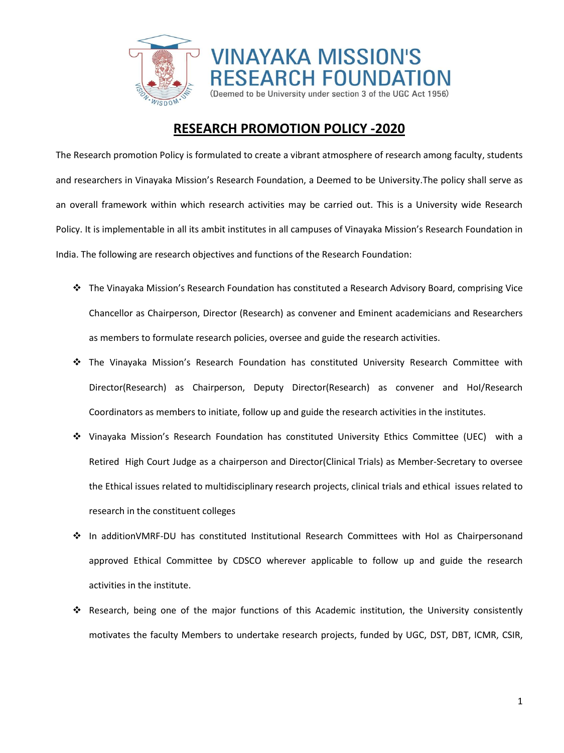

## **RESEARCH PROMOTION POLICY -2020**

The Research promotion Policy is formulated to create a vibrant atmosphere of research among faculty, students and researchers in Vinayaka Mission's Research Foundation, a Deemed to be University.The policy shall serve as an overall framework within which research activities may be carried out. This is a University wide Research Policy. It is implementable in all its ambit institutes in all campuses of Vinayaka Mission's Research Foundation in India. The following are research objectives and functions of the Research Foundation:

- The Vinayaka Mission's Research Foundation has constituted a Research Advisory Board, comprising Vice Chancellor as Chairperson, Director (Research) as convener and Eminent academicians and Researchers as members to formulate research policies, oversee and guide the research activities.
- The Vinayaka Mission's Research Foundation has constituted University Research Committee with Director(Research) as Chairperson, Deputy Director(Research) as convener and HoI/Research Coordinators as members to initiate, follow up and guide the research activities in the institutes.
- Vinayaka Mission's Research Foundation has constituted University Ethics Committee (UEC) with a Retired High Court Judge as a chairperson and Director(Clinical Trials) as Member-Secretary to oversee the Ethical issues related to multidisciplinary research projects, clinical trials and ethical issues related to research in the constituent colleges
- In additionVMRF-DU has constituted Institutional Research Committees with HoI as Chairpersonand approved Ethical Committee by CDSCO wherever applicable to follow up and guide the research activities in the institute.
- Research, being one of the major functions of this Academic institution, the University consistently motivates the faculty Members to undertake research projects, funded by UGC, DST, DBT, ICMR, CSIR,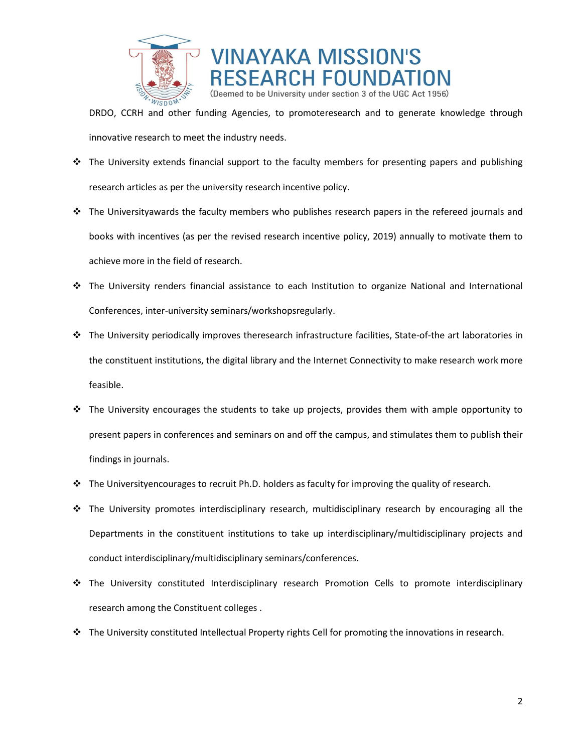



DRDO, CCRH and other funding Agencies, to promoteresearch and to generate knowledge through innovative research to meet the industry needs.

- $\div$  The University extends financial support to the faculty members for presenting papers and publishing research articles as per the university research incentive policy.
- $\cdot \cdot$  The Universityawards the faculty members who publishes research papers in the refereed journals and books with incentives (as per the revised research incentive policy, 2019) annually to motivate them to achieve more in the field of research.
- The University renders financial assistance to each Institution to organize National and International Conferences, inter-university seminars/workshopsregularly.
- The University periodically improves theresearch infrastructure facilities, State-of-the art laboratories in the constituent institutions, the digital library and the Internet Connectivity to make research work more feasible.
- $\div$  The University encourages the students to take up projects, provides them with ample opportunity to present papers in conferences and seminars on and off the campus, and stimulates them to publish their findings in journals.
- $\div$  The Universityencourages to recruit Ph.D. holders as faculty for improving the quality of research.
- $\div$  The University promotes interdisciplinary research, multidisciplinary research by encouraging all the Departments in the constituent institutions to take up interdisciplinary/multidisciplinary projects and conduct interdisciplinary/multidisciplinary seminars/conferences.
- \* The University constituted Interdisciplinary research Promotion Cells to promote interdisciplinary research among the Constituent colleges .
- $\clubsuit$  The University constituted Intellectual Property rights Cell for promoting the innovations in research.